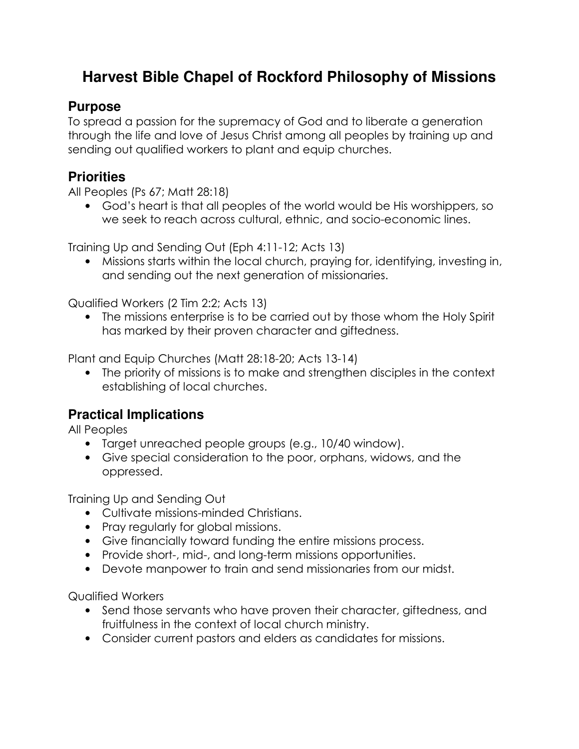# **Harvest Bible Chapel of Rockford Philosophy of Missions**

#### **Purpose**

To spread a passion for the supremacy of God and to liberate a generation through the life and love of Jesus Christ among all peoples by training up and sending out qualified workers to plant and equip churches.

#### **Priorities**

All Peoples (Ps 67; Matt 28:18)

• God's heart is that all peoples of the world would be His worshippers, so we seek to reach across cultural, ethnic, and socio-economic lines.

Training Up and Sending Out (Eph 4:11-12; Acts 13)

• Missions starts within the local church, praying for, identifying, investing in, and sending out the next generation of missionaries.

Qualified Workers (2 Tim 2:2; Acts 13)

• The missions enterprise is to be carried out by those whom the Holy Spirit has marked by their proven character and giftedness.

Plant and Equip Churches (Matt 28:18-20; Acts 13-14)

• The priority of missions is to make and strengthen disciples in the context establishing of local churches.

## **Practical Implications**

All Peoples

- Target unreached people groups (e.g., 10/40 window).
- Give special consideration to the poor, orphans, widows, and the oppressed.

Training Up and Sending Out

- Cultivate missions-minded Christians.
- Pray regularly for global missions.
- Give financially toward funding the entire missions process.
- Provide short-, mid-, and long-term missions opportunities.
- Devote manpower to train and send missionaries from our midst.

Qualified Workers

- Send those servants who have proven their character, giftedness, and fruitfulness in the context of local church ministry.
- Consider current pastors and elders as candidates for missions.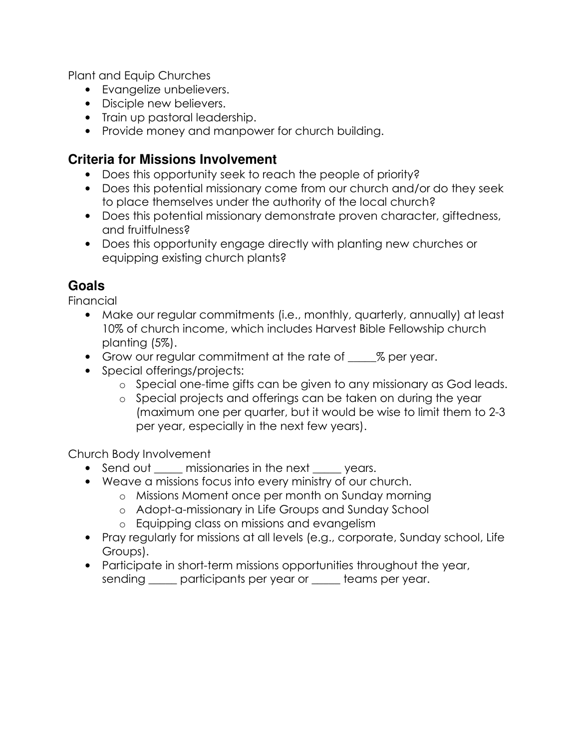Plant and Equip Churches

- Evangelize unbelievers.
- Disciple new believers.
- Train up pastoral leadership.
- Provide money and manpower for church building.

### **Criteria for Missions Involvement**

- Does this opportunity seek to reach the people of priority?
- Does this potential missionary come from our church and/or do they seek to place themselves under the authority of the local church?
- Does this potential missionary demonstrate proven character, giftedness, and fruitfulness?
- Does this opportunity engage directly with planting new churches or equipping existing church plants?

# **Goals**

**Financial** 

- Make our regular commitments (i.e., monthly, quarterly, annually) at least 10% of church income, which includes Harvest Bible Fellowship church planting (5%).
- Grow our regular commitment at the rate of  $\frac{1}{2}$  per year.
- Special offerings/projects:
	- o Special one-time gifts can be given to any missionary as God leads.
	- o Special projects and offerings can be taken on during the year (maximum one per quarter, but it would be wise to limit them to 2-3 per year, especially in the next few years).

Church Body Involvement

- Send out <u>eagen missionaries in the next seven</u> years.
- Weave a missions focus into every ministry of our church.
	- o Missions Moment once per month on Sunday morning
	- o Adopt-a-missionary in Life Groups and Sunday School
	- o Equipping class on missions and evangelism
- Pray regularly for missions at all levels (e.g., corporate, Sunday school, Life Groups).
- Participate in short-term missions opportunities throughout the year, sending \_\_\_\_\_ participants per year or \_\_\_\_ teams per year.